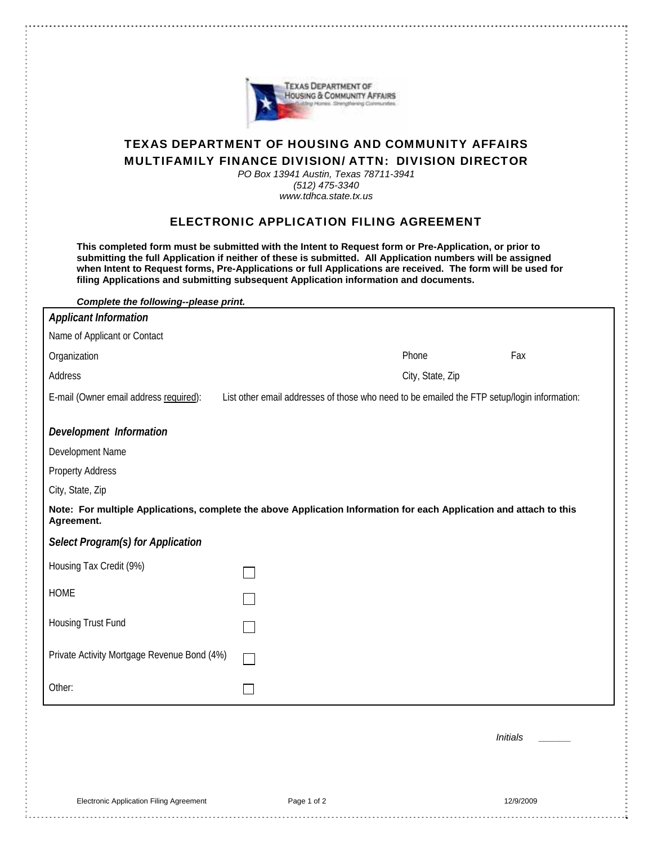

## TEXAS DEPARTMENT OF HOUSING AND COMMUNITY AFFAIRS MULTIFAMILY FINANCE DIVISION/ ATTN: DIVISION DIRECTOR

*PO Box 13941 Austin, Texas 78711-3941 (512) 475-3340 www.tdhca.state.tx.us* 

## ELECTRONIC APPLICATION FILING AGREEMENT

**This completed form must be submitted with the Intent to Request form or Pre-Application, or prior to submitting the full Application if neither of these is submitted. All Application numbers will be assigned when Intent to Request forms, Pre-Applications or full Applications are received. The form will be used for filing Applications and submitting subsequent Application information and documents.** 

*Complete the following--please print.* 

| complete the renorming prease primate<br><b>Applicant Information</b>                                                             |                                                                                             |                  |                 |
|-----------------------------------------------------------------------------------------------------------------------------------|---------------------------------------------------------------------------------------------|------------------|-----------------|
| Name of Applicant or Contact                                                                                                      |                                                                                             |                  |                 |
| Organization                                                                                                                      |                                                                                             | Phone            | Fax             |
| Address                                                                                                                           |                                                                                             | City, State, Zip |                 |
| E-mail (Owner email address required):                                                                                            | List other email addresses of those who need to be emailed the FTP setup/login information: |                  |                 |
| Development Information                                                                                                           |                                                                                             |                  |                 |
| Development Name                                                                                                                  |                                                                                             |                  |                 |
| <b>Property Address</b>                                                                                                           |                                                                                             |                  |                 |
| City, State, Zip                                                                                                                  |                                                                                             |                  |                 |
| Note: For multiple Applications, complete the above Application Information for each Application and attach to this<br>Agreement. |                                                                                             |                  |                 |
| Select Program(s) for Application                                                                                                 |                                                                                             |                  |                 |
| Housing Tax Credit (9%)                                                                                                           |                                                                                             |                  |                 |
| <b>HOME</b>                                                                                                                       |                                                                                             |                  |                 |
| <b>Housing Trust Fund</b>                                                                                                         |                                                                                             |                  |                 |
| Private Activity Mortgage Revenue Bond (4%)                                                                                       |                                                                                             |                  |                 |
| Other:                                                                                                                            |                                                                                             |                  |                 |
|                                                                                                                                   |                                                                                             |                  |                 |
|                                                                                                                                   |                                                                                             |                  | <b>Initials</b> |
|                                                                                                                                   |                                                                                             |                  |                 |
| <b>Electronic Application Filing Agreement</b>                                                                                    | Page 1 of 2                                                                                 |                  | 12/9/2009       |